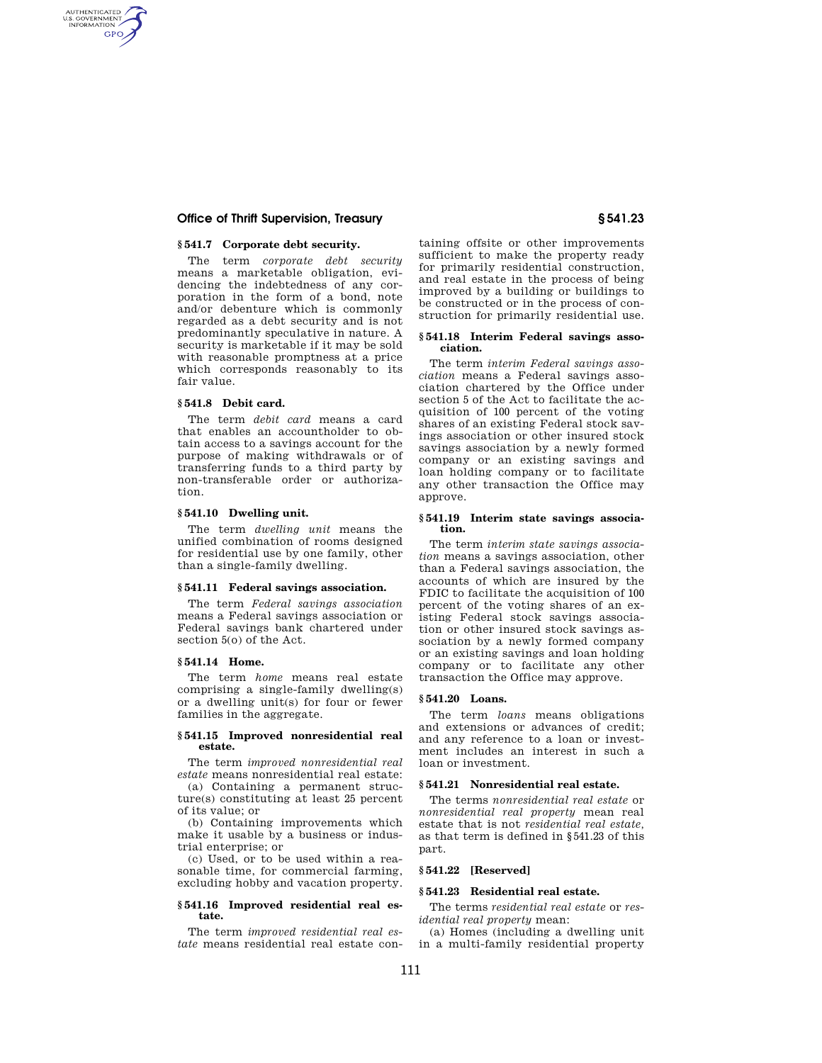## **Office of Thrift Supervision, Treasury § 541.23**

# **§ 541.7 Corporate debt security.**

The term *corporate debt security*  means a marketable obligation, evidencing the indebtedness of any corporation in the form of a bond, note and/or debenture which is commonly regarded as a debt security and is not predominantly speculative in nature. A security is marketable if it may be sold with reasonable promptness at a price which corresponds reasonably to its fair value.

#### **§ 541.8 Debit card.**

AUTHENTICATED<br>U.S. GOVERNMENT<br>INFORMATION **GPO** 

> The term *debit card* means a card that enables an accountholder to obtain access to a savings account for the purpose of making withdrawals or of transferring funds to a third party by non-transferable order or authorization.

#### **§ 541.10 Dwelling unit.**

The term *dwelling unit* means the unified combination of rooms designed for residential use by one family, other than a single-family dwelling.

#### **§ 541.11 Federal savings association.**

The term *Federal savings association*  means a Federal savings association or Federal savings bank chartered under section 5(o) of the Act.

## **§ 541.14 Home.**

The term *home* means real estate comprising a single-family dwelling(s) or a dwelling unit(s) for four or fewer families in the aggregate.

## **§ 541.15 Improved nonresidential real estate.**

The term *improved nonresidential real estate* means nonresidential real estate:

(a) Containing a permanent structure(s) constituting at least 25 percent of its value; or

(b) Containing improvements which make it usable by a business or industrial enterprise; or

(c) Used, or to be used within a reasonable time, for commercial farming, excluding hobby and vacation property.

#### **§ 541.16 Improved residential real estate.**

The term *improved residential real estate* means residential real estate containing offsite or other improvements sufficient to make the property ready for primarily residential construction, and real estate in the process of being improved by a building or buildings to be constructed or in the process of construction for primarily residential use.

#### **§ 541.18 Interim Federal savings association.**

The term *interim Federal savings association* means a Federal savings association chartered by the Office under section 5 of the Act to facilitate the acquisition of 100 percent of the voting shares of an existing Federal stock savings association or other insured stock savings association by a newly formed company or an existing savings and loan holding company or to facilitate any other transaction the Office may approve.

#### **§ 541.19 Interim state savings association.**

The term *interim state savings association* means a savings association, other than a Federal savings association, the accounts of which are insured by the FDIC to facilitate the acquisition of 100 percent of the voting shares of an existing Federal stock savings association or other insured stock savings association by a newly formed company or an existing savings and loan holding company or to facilitate any other transaction the Office may approve.

## **§ 541.20 Loans.**

The term *loans* means obligations and extensions or advances of credit; and any reference to a loan or investment includes an interest in such a loan or investment.

#### **§ 541.21 Nonresidential real estate.**

The terms *nonresidential real estate* or *nonresidential real property* mean real estate that is not *residential real estate,*  as that term is defined in §541.23 of this part.

#### **§ 541.22 [Reserved]**

## **§ 541.23 Residential real estate.**

The terms *residential real estate* or *residential real property* mean:

(a) Homes (including a dwelling unit in a multi-family residential property